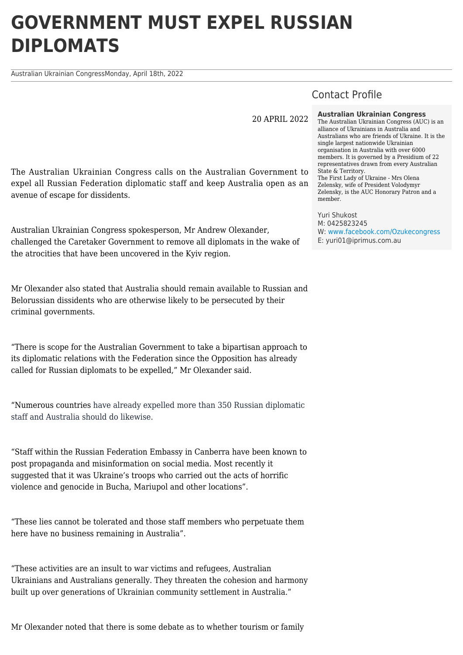## **GOVERNMENT MUST EXPEL RUSSIAN DIPLOMATS**

Australian Ukrainian CongressMonday, April 18th, 2022

Contact Profile

20 APRIL 2022

The Australian Ukrainian Congress calls on the Australian Government to expel all Russian Federation diplomatic staff and keep Australia open as an avenue of escape for dissidents.

Australian Ukrainian Congress spokesperson, Mr Andrew Olexander, challenged the Caretaker Government to remove all diplomats in the wake of the atrocities that have been uncovered in the Kyiv region.

Mr Olexander also stated that Australia should remain available to Russian and Belorussian dissidents who are otherwise likely to be persecuted by their criminal governments.

"There is scope for the Australian Government to take a bipartisan approach to its diplomatic relations with the Federation since the Opposition has already called for Russian diplomats to be expelled," Mr Olexander said.

"Numerous countries have already expelled more than 350 Russian diplomatic staff and Australia should do likewise.

"Staff within the Russian Federation Embassy in Canberra have been known to post propaganda and misinformation on social media. Most recently it suggested that it was Ukraine's troops who carried out the acts of horrific violence and genocide in Bucha, Mariupol and other locations".

"These lies cannot be tolerated and those staff members who perpetuate them here have no business remaining in Australia".

"These activities are an insult to war victims and refugees, Australian Ukrainians and Australians generally. They threaten the cohesion and harmony built up over generations of Ukrainian community settlement in Australia."

Mr Olexander noted that there is some debate as to whether tourism or family

**Australian Ukrainian Congress**

The Australian Ukrainian Congress (AUC) is an alliance of Ukrainians in Australia and Australians who are friends of Ukraine. It is the single largest nationwide Ukrainian organisation in Australia with over 6000 members. It is governed by a Presidium of 22 representatives drawn from every Australian State & Territory. The First Lady of Ukraine - Mrs Olena Zelensky, wife of President Volodymyr Zelensky, is the AUC Honorary Patron and a member.

Yuri Shukost M: 0425823245 W: [www.facebook.com/Ozukecongress](https://www.facebook.com/Ozukecongress) E: yuri01@iprimus.com.au